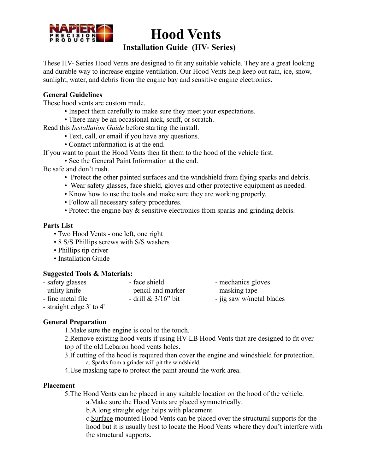

# **Hood Vents Installation Guide (HV- Series)**

These HV- Series Hood Vents are designed to fit any suitable vehicle. They are a great looking and durable way to increase engine ventilation. Our Hood Vents help keep out rain, ice, snow, sunlight, water, and debris from the engine bay and sensitive engine electronics.

# **General Guidelines**

These hood vents are custom made.

- Inspect them carefully to make sure they meet your expectations.
- There may be an occasional nick, scuff, or scratch.

Read this *Installation Guide* before starting the install.

- Text, call, or email if you have any questions.
- Contact information is at the end.

If you want to paint the Hood Vents then fit them to the hood of the vehicle first.

• See the General Paint Information at the end.

Be safe and don't rush.

- Protect the other painted surfaces and the windshield from flying sparks and debris.
- Wear safety glasses, face shield, gloves and other protective equipment as needed.
- Know how to use the tools and make sure they are working properly.
- Follow all necessary safety procedures.
- Protect the engine bay & sensitive electronics from sparks and grinding debris.

#### **Parts List**

- Two Hood Vents one left, one right
- 8 S/S Phillips screws with S/S washers
- Phillips tip driver
- Installation Guide

# **Suggested Tools & Materials:**

- 
- safety glasses face shield mechanics gloves
- 
- utility knife pencil and marker masking tape
- 
- fine metal file  $\cdot$  drill & 3/16" bit  $\cdot$  iig saw w/metal blades
- straight edge 3' to 4'

# **General Preparation**

1.Make sure the engine is cool to the touch.

2.Remove existing hood vents if using HV-LB Hood Vents that are designed to fit over top of the old Lebaron hood vents holes.

3.If cutting of the hood is required then cover the engine and windshield for protection. a. Sparks from a grinder will pit the windshield.

4.Use masking tape to protect the paint around the work area.

#### **Placement**

5.The Hood Vents can be placed in any suitable location on the hood of the vehicle.

a.Make sure the Hood Vents are placed symmetrically.

b.A long straight edge helps with placement.

c.Surface mounted Hood Vents can be placed over the structural supports for the hood but it is usually best to locate the Hood Vents where they don't interfere with the structural supports.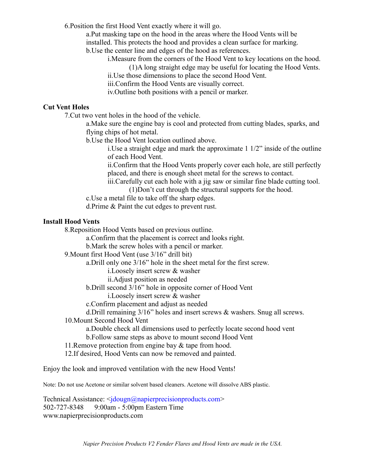6.Position the first Hood Vent exactly where it will go.

a.Put masking tape on the hood in the areas where the Hood Vents will be installed. This protects the hood and provides a clean surface for marking. b.Use the center line and edges of the hood as references.

i.Measure from the corners of the Hood Vent to key locations on the hood.

(1)A long straight edge may be useful for locating the Hood Vents.

ii.Use those dimensions to place the second Hood Vent.

iii.Confirm the Hood Vents are visually correct.

iv.Outline both positions with a pencil or marker.

# **Cut Vent Holes**

7.Cut two vent holes in the hood of the vehicle.

a.Make sure the engine bay is cool and protected from cutting blades, sparks, and flying chips of hot metal.

b.Use the Hood Vent location outlined above.

i.Use a straight edge and mark the approximate 1 1/2" inside of the outline of each Hood Vent.

ii.Confirm that the Hood Vents properly cover each hole, are still perfectly placed, and there is enough sheet metal for the screws to contact.

iii.Carefully cut each hole with a jig saw or similar fine blade cutting tool.

(1)Don't cut through the structural supports for the hood.

c.Use a metal file to take off the sharp edges.

d.Prime & Paint the cut edges to prevent rust.

# **Install Hood Vents**

8.Reposition Hood Vents based on previous outline.

a.Confirm that the placement is correct and looks right.

b.Mark the screw holes with a pencil or marker.

9.Mount first Hood Vent (use 3/16" drill bit)

a.Drill only one 3/16" hole in the sheet metal for the first screw.

i.Loosely insert screw & washer

ii.Adjust position as needed

b.Drill second 3/16" hole in opposite corner of Hood Vent

i.Loosely insert screw & washer

c.Confirm placement and adjust as needed

d.Drill remaining 3/16" holes and insert screws & washers. Snug all screws.

10.Mount Second Hood Vent

a.Double check all dimensions used to perfectly locate second hood vent

b.Follow same steps as above to mount second Hood Vent

11.Remove protection from engine bay & tape from hood.

12.If desired, Hood Vents can now be removed and painted.

Enjoy the look and improved ventilation with the new Hood Vents!

Note: Do not use Acetone or similar solvent based cleaners. Acetone will dissolve ABS plastic.

Technical Assistance:  $\langle$ idougn@napierprecisionproducts.com> 502-727-8348 9:00am - 5:00pm Eastern Time www.napierprecisionproducts.com